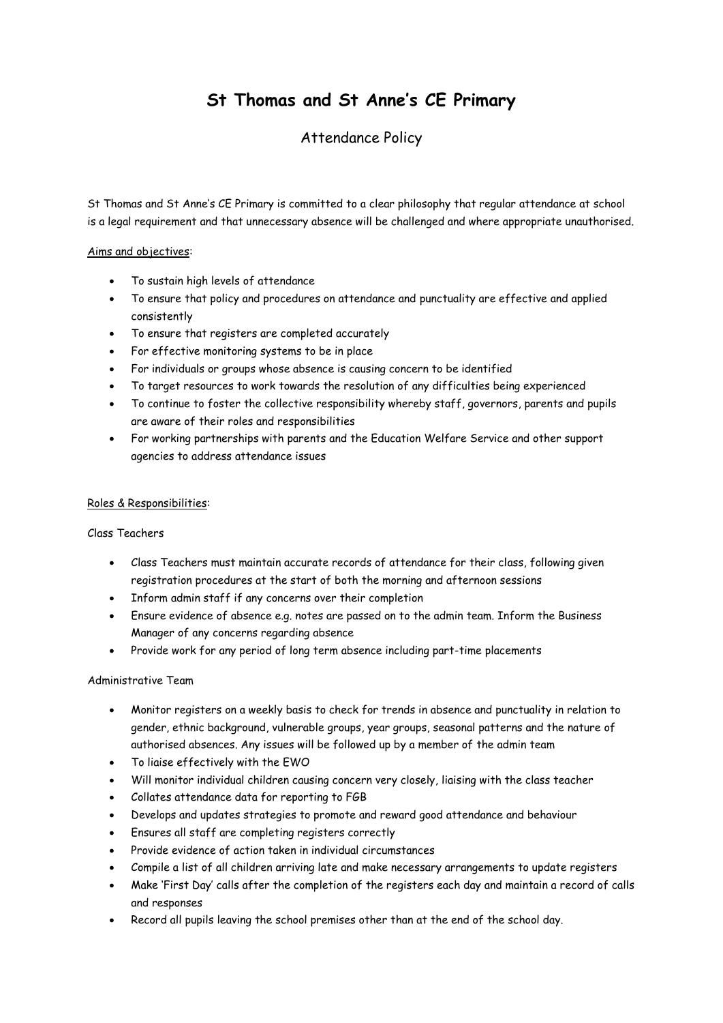# **St Thomas and St Anne's CE Primary**

# Attendance Policy

St Thomas and St Anne's CE Primary is committed to a clear philosophy that regular attendance at school is a legal requirement and that unnecessary absence will be challenged and where appropriate unauthorised.

#### Aims and objectives:

- To sustain high levels of attendance
- To ensure that policy and procedures on attendance and punctuality are effective and applied consistently
- To ensure that registers are completed accurately
- For effective monitoring systems to be in place
- For individuals or groups whose absence is causing concern to be identified
- To target resources to work towards the resolution of any difficulties being experienced
- To continue to foster the collective responsibility whereby staff, governors, parents and pupils are aware of their roles and responsibilities
- For working partnerships with parents and the Education Welfare Service and other support agencies to address attendance issues

#### Roles & Responsibilities:

#### Class Teachers

- Class Teachers must maintain accurate records of attendance for their class, following given registration procedures at the start of both the morning and afternoon sessions
- Inform admin staff if any concerns over their completion
- Ensure evidence of absence e.g. notes are passed on to the admin team. Inform the Business Manager of any concerns regarding absence
- Provide work for any period of long term absence including part-time placements

#### Administrative Team

- Monitor registers on a weekly basis to check for trends in absence and punctuality in relation to gender, ethnic background, vulnerable groups, year groups, seasonal patterns and the nature of authorised absences. Any issues will be followed up by a member of the admin team
- To liaise effectively with the EWO
- Will monitor individual children causing concern very closely, liaising with the class teacher
- Collates attendance data for reporting to FGB
- Develops and updates strategies to promote and reward good attendance and behaviour
- Ensures all staff are completing registers correctly
- Provide evidence of action taken in individual circumstances
- Compile a list of all children arriving late and make necessary arrangements to update registers
- Make 'First Day' calls after the completion of the registers each day and maintain a record of calls and responses
- Record all pupils leaving the school premises other than at the end of the school day.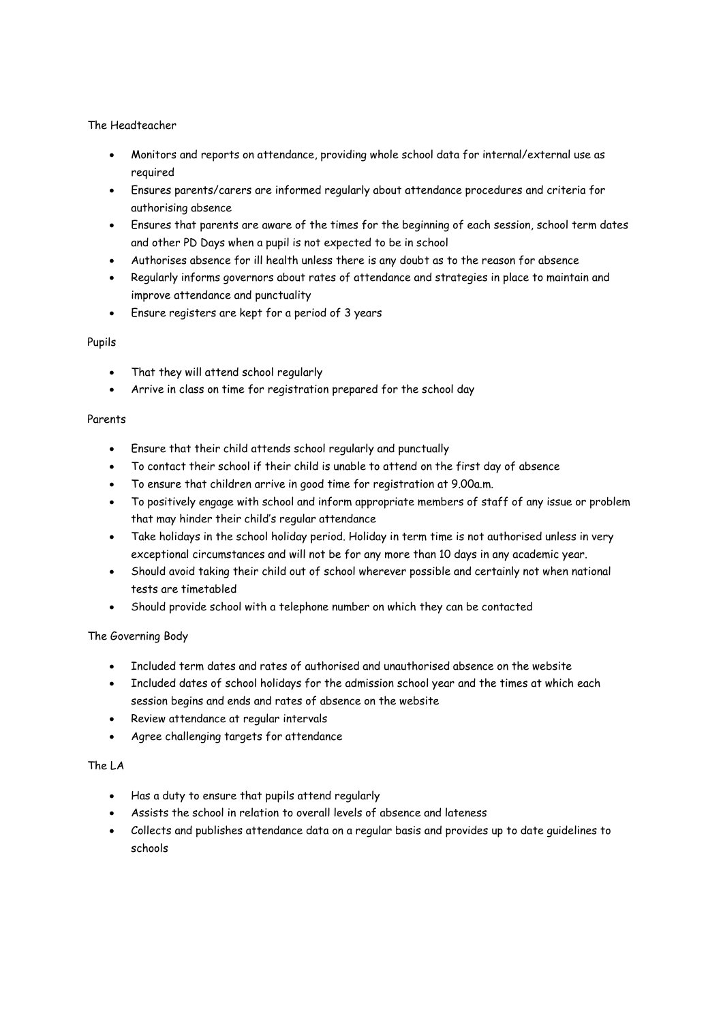#### The Headteacher

- Monitors and reports on attendance, providing whole school data for internal/external use as required
- Ensures parents/carers are informed regularly about attendance procedures and criteria for authorising absence
- Ensures that parents are aware of the times for the beginning of each session, school term dates and other PD Days when a pupil is not expected to be in school
- Authorises absence for ill health unless there is any doubt as to the reason for absence
- Regularly informs governors about rates of attendance and strategies in place to maintain and improve attendance and punctuality
- Ensure registers are kept for a period of 3 years

## Pupils

- That they will attend school regularly
- Arrive in class on time for registration prepared for the school day

#### Parents

- Ensure that their child attends school regularly and punctually
- To contact their school if their child is unable to attend on the first day of absence
- To ensure that children arrive in good time for registration at 9.00a.m.
- To positively engage with school and inform appropriate members of staff of any issue or problem that may hinder their child's regular attendance
- Take holidays in the school holiday period. Holiday in term time is not authorised unless in very exceptional circumstances and will not be for any more than 10 days in any academic year.
- Should avoid taking their child out of school wherever possible and certainly not when national tests are timetabled
- Should provide school with a telephone number on which they can be contacted

## The Governing Body

- Included term dates and rates of authorised and unauthorised absence on the website
- Included dates of school holidays for the admission school year and the times at which each session begins and ends and rates of absence on the website
- Review attendance at regular intervals
- Agree challenging targets for attendance

## The LA

- Has a duty to ensure that pupils attend regularly
- Assists the school in relation to overall levels of absence and lateness
- Collects and publishes attendance data on a regular basis and provides up to date guidelines to schools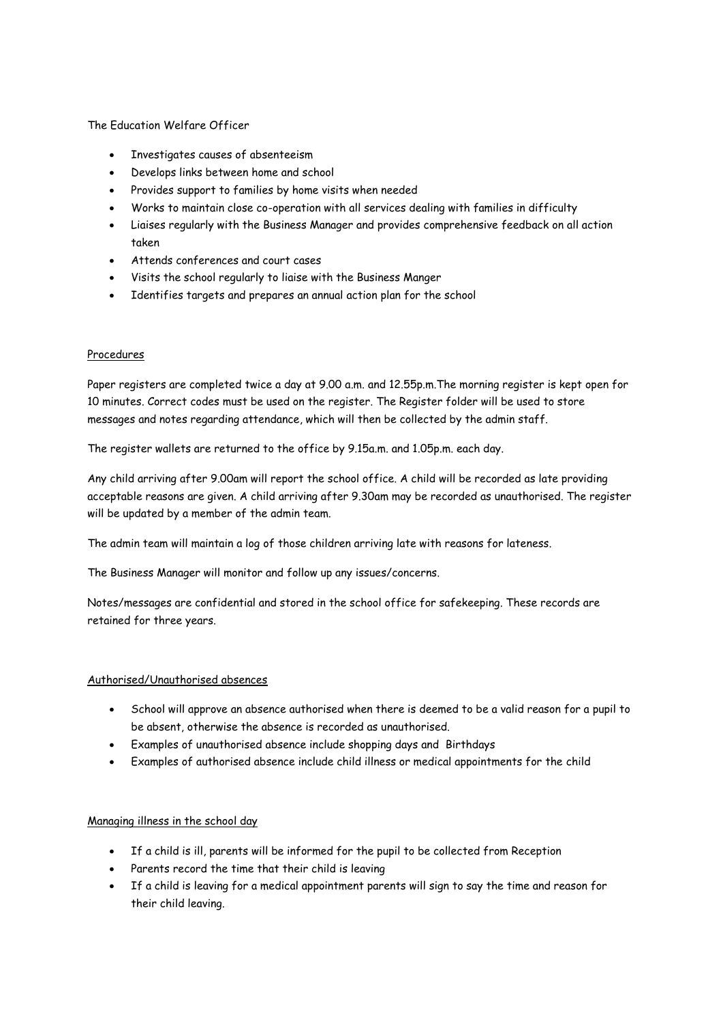#### The Education Welfare Officer

- Investigates causes of absenteeism
- Develops links between home and school
- Provides support to families by home visits when needed
- Works to maintain close co-operation with all services dealing with families in difficulty
- Liaises regularly with the Business Manager and provides comprehensive feedback on all action taken
- Attends conferences and court cases
- Visits the school regularly to liaise with the Business Manger
- Identifies targets and prepares an annual action plan for the school

#### Procedures

Paper registers are completed twice a day at 9.00 a.m. and 12.55p.m.The morning register is kept open for 10 minutes. Correct codes must be used on the register. The Register folder will be used to store messages and notes regarding attendance, which will then be collected by the admin staff.

The register wallets are returned to the office by 9.15a.m. and 1.05p.m. each day.

Any child arriving after 9.00am will report the school office. A child will be recorded as late providing acceptable reasons are given. A child arriving after 9.30am may be recorded as unauthorised. The register will be updated by a member of the admin team.

The admin team will maintain a log of those children arriving late with reasons for lateness.

The Business Manager will monitor and follow up any issues/concerns.

Notes/messages are confidential and stored in the school office for safekeeping. These records are retained for three years.

## Authorised/Unauthorised absences

- School will approve an absence authorised when there is deemed to be a valid reason for a pupil to be absent, otherwise the absence is recorded as unauthorised.
- Examples of unauthorised absence include shopping days and Birthdays
- Examples of authorised absence include child illness or medical appointments for the child

## Managing illness in the school day

- If a child is ill, parents will be informed for the pupil to be collected from Reception
- Parents record the time that their child is leaving
- If a child is leaving for a medical appointment parents will sign to say the time and reason for their child leaving.